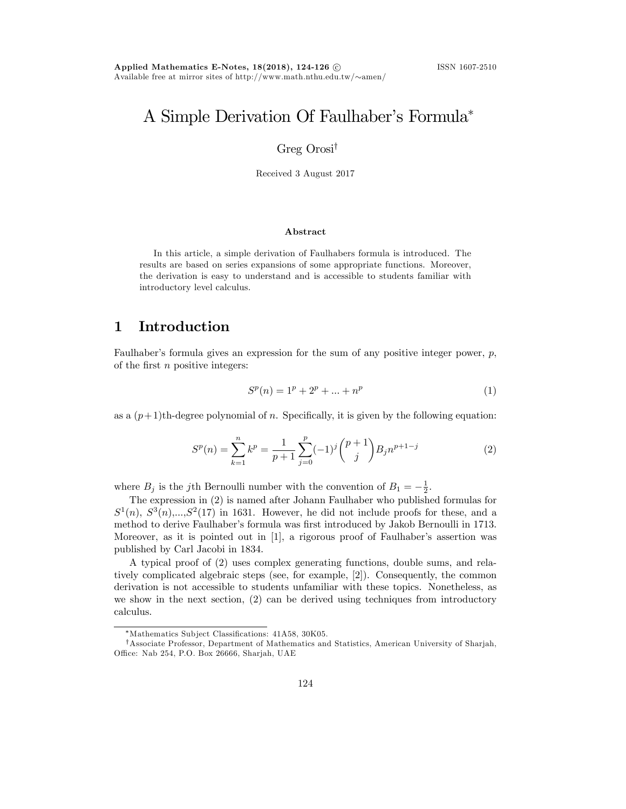## A Simple Derivation Of Faulhaber's Formula<sup>\*</sup>

Greg  $Orosi^{\dagger}$ 

Received 3 August 2017

#### Abstract

In this article, a simple derivation of Faulhabers formula is introduced. The results are based on series expansions of some appropriate functions. Moreover, the derivation is easy to understand and is accessible to students familiar with introductory level calculus.

#### 1 Introduction

Faulhaber's formula gives an expression for the sum of any positive integer power,  $p$ , of the first  $n$  positive integers:

$$
S^{p}(n) = 1^{p} + 2^{p} + \dots + n^{p}
$$
 (1)

as a  $(p+1)$ th-degree polynomial of n. Specifically, it is given by the following equation:

$$
S^{p}(n) = \sum_{k=1}^{n} k^{p} = \frac{1}{p+1} \sum_{j=0}^{p} (-1)^{j} {p+1 \choose j} B_{j} n^{p+1-j}
$$
(2)

where  $B_j$  is the jth Bernoulli number with the convention of  $B_1 = -\frac{1}{2}$ .

The expression in (2) is named after Johann Faulhaber who published formulas for  $S^1(n)$ ,  $S^3(n)$ ,..., $S^2(17)$  in 1631. However, he did not include proofs for these, and a method to derive Faulhaber's formula was first introduced by Jakob Bernoulli in 1713. Moreover, as it is pointed out in [1], a rigorous proof of Faulhaber's assertion was published by Carl Jacobi in 1834.

A typical proof of (2) uses complex generating functions, double sums, and relatively complicated algebraic steps (see, for example, [2]). Consequently, the common derivation is not accessible to students unfamiliar with these topics. Nonetheless, as we show in the next section, (2) can be derived using techniques from introductory calculus.

<sup>\*</sup>Mathematics Subject Classifications: 41A58, 30K05.

<sup>&</sup>lt;sup>†</sup>Associate Professor, Department of Mathematics and Statistics, American University of Sharjah, Office: Nab 254, P.O. Box 26666, Sharjah, UAE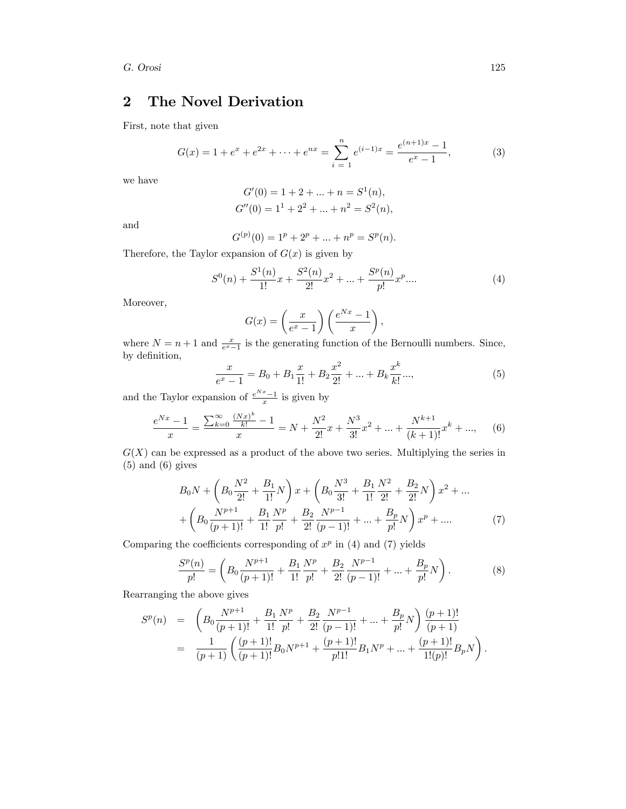G. Orosi 125

### 2 The Novel Derivation

First, note that given

$$
G(x) = 1 + e^x + e^{2x} + \dots + e^{nx} = \sum_{i=1}^{n} e^{(i-1)x} = \frac{e^{(n+1)x} - 1}{e^x - 1},
$$
 (3)

we have

$$
G'(0) = 1 + 2 + \dots + n = S1(n),
$$
  

$$
G''(0) = 11 + 22 + \dots + n2 = S2(n),
$$

and

$$
G^{(p)}(0) = 1p + 2p + ... + np = Sp(n).
$$

Therefore, the Taylor expansion of  $G(x)$  is given by

$$
S^{0}(n) + \frac{S^{1}(n)}{1!}x + \frac{S^{2}(n)}{2!}x^{2} + \dots + \frac{S^{p}(n)}{p!}x^{p} \dots
$$
\n(4)

Moreover,

$$
G(x) = \left(\frac{x}{e^x - 1}\right) \left(\frac{e^{Nx} - 1}{x}\right),
$$

where  $N = n + 1$  and  $\frac{x}{e^x - 1}$  is the generating function of the Bernoulli numbers. Since, by definition,

$$
\frac{x}{e^x - 1} = B_0 + B_1 \frac{x}{1!} + B_2 \frac{x^2}{2!} + \dots + B_k \frac{x^k}{k!} \dots,
$$
\n(5)

and the Taylor expansion of  $\frac{e^{Nx}-1}{x}$  is given by

$$
\frac{e^{Nx} - 1}{x} = \frac{\sum_{k=0}^{\infty} \frac{(Nx)^k}{k!} - 1}{x} = N + \frac{N^2}{2!}x + \frac{N^3}{3!}x^2 + \dots + \frac{N^{k+1}}{(k+1)!}x^k + \dots,
$$
 (6)

 $G(X)$  can be expressed as a product of the above two series. Multiplying the series in (5) and (6) gives

$$
B_0N + \left(B_0\frac{N^2}{2!} + \frac{B_1}{1!}N\right)x + \left(B_0\frac{N^3}{3!} + \frac{B_1}{1!}\frac{N^2}{2!} + \frac{B_2}{2!}N\right)x^2 + \dots
$$
  
+ 
$$
\left(B_0\frac{N^{p+1}}{(p+1)!} + \frac{B_1}{1!}\frac{N^p}{p!} + \frac{B_2}{2!}\frac{N^{p-1}}{(p-1)!} + \dots + \frac{B_p}{p!}N\right)x^p + \dots
$$
 (7)

Comparing the coefficients corresponding of  $x^p$  in (4) and (7) yields

$$
\frac{S^{p}(n)}{p!} = \left(B_0 \frac{N^{p+1}}{(p+1)!} + \frac{B_1}{1!} \frac{N^{p}}{p!} + \frac{B_2}{2!} \frac{N^{p-1}}{(p-1)!} + \dots + \frac{B_p}{p!} N\right).
$$
 (8)

Rearranging the above gives

$$
S^{p}(n) = \left(B_0 \frac{N^{p+1}}{(p+1)!} + \frac{B_1}{1!} \frac{N^p}{p!} + \frac{B_2}{2!} \frac{N^{p-1}}{(p-1)!} + \dots + \frac{B_p}{p!} N\right) \frac{(p+1)!}{(p+1)!}
$$
  
=  $\frac{1}{(p+1)} \left(\frac{(p+1)!}{(p+1)!} B_0 N^{p+1} + \frac{(p+1)!}{p!1!} B_1 N^p + \dots + \frac{(p+1)!}{1!(p)!} B_p N\right).$